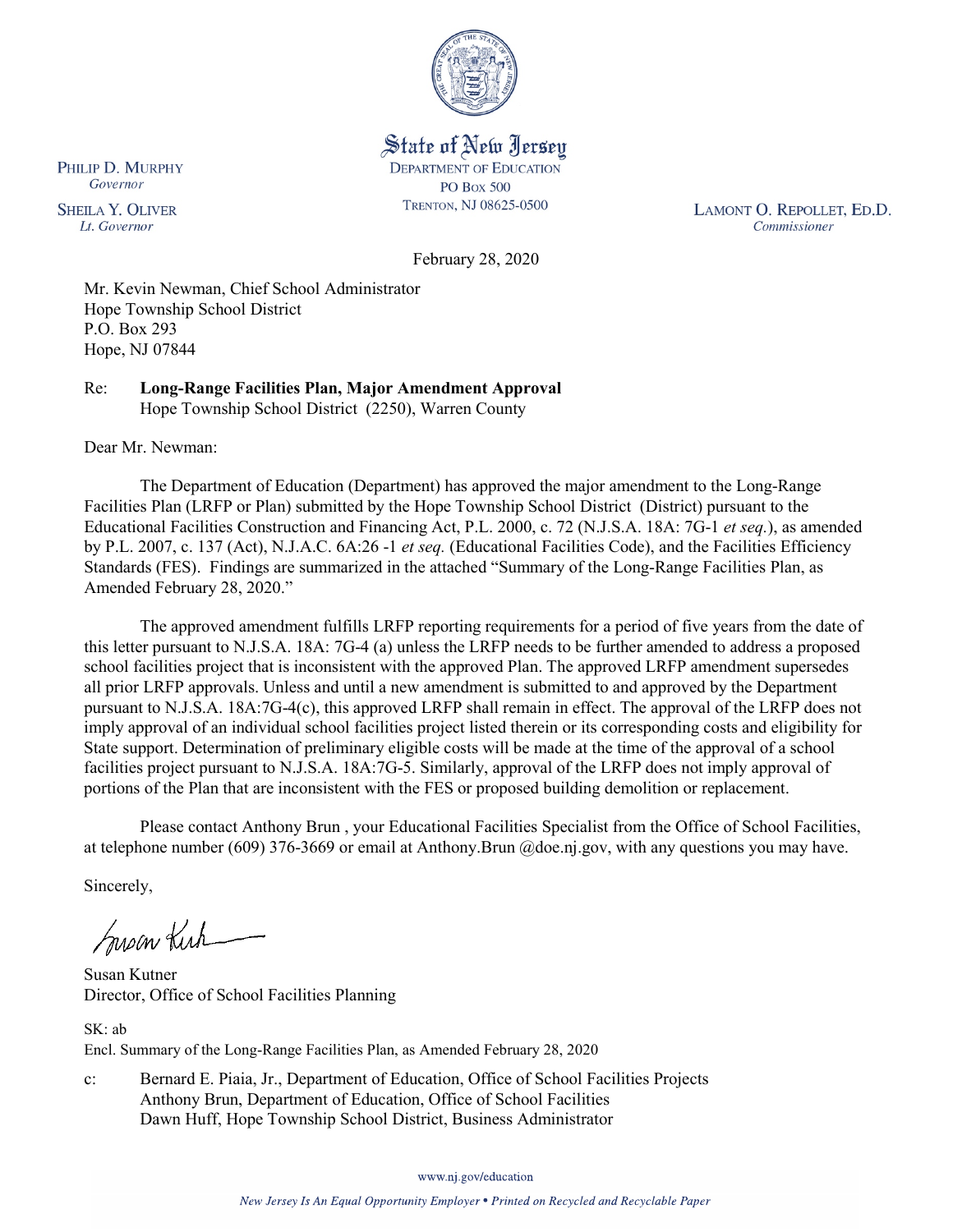

State of New Jersey **DEPARTMENT OF EDUCATION PO Box 500** TRENTON, NJ 08625-0500

LAMONT O. REPOLLET, ED.D. Commissioner

February 28, 2020

Mr. Kevin Newman, Chief School Administrator Hope Township School District P.O. Box 293 Hope, NJ 07844

Re: **Long-Range Facilities Plan, Major Amendment Approval** Hope Township School District (2250), Warren County

Dear Mr. Newman:

The Department of Education (Department) has approved the major amendment to the Long-Range Facilities Plan (LRFP or Plan) submitted by the Hope Township School District (District) pursuant to the Educational Facilities Construction and Financing Act, P.L. 2000, c. 72 (N.J.S.A. 18A: 7G-1 *et seq.*), as amended by P.L. 2007, c. 137 (Act), N.J.A.C. 6A:26 -1 *et seq.* (Educational Facilities Code), and the Facilities Efficiency Standards (FES). Findings are summarized in the attached "Summary of the Long-Range Facilities Plan, as Amended February 28, 2020."

The approved amendment fulfills LRFP reporting requirements for a period of five years from the date of this letter pursuant to N.J.S.A. 18A: 7G-4 (a) unless the LRFP needs to be further amended to address a proposed school facilities project that is inconsistent with the approved Plan. The approved LRFP amendment supersedes all prior LRFP approvals. Unless and until a new amendment is submitted to and approved by the Department pursuant to N.J.S.A. 18A:7G-4(c), this approved LRFP shall remain in effect. The approval of the LRFP does not imply approval of an individual school facilities project listed therein or its corresponding costs and eligibility for State support. Determination of preliminary eligible costs will be made at the time of the approval of a school facilities project pursuant to N.J.S.A. 18A:7G-5. Similarly, approval of the LRFP does not imply approval of portions of the Plan that are inconsistent with the FES or proposed building demolition or replacement.

Please contact Anthony Brun , your Educational Facilities Specialist from the Office of School Facilities, at telephone number (609) 376-3669 or email at Anthony.Brun @doe.nj.gov, with any questions you may have.

Sincerely,

Susan Kich

Susan Kutner Director, Office of School Facilities Planning

SK: ab Encl. Summary of the Long-Range Facilities Plan, as Amended February 28, 2020

c: Bernard E. Piaia, Jr., Department of Education, Office of School Facilities Projects Anthony Brun, Department of Education, Office of School Facilities Dawn Huff, Hope Township School District, Business Administrator

www.nj.gov/education

PHILIP D. MURPHY Governor

**SHEILA Y. OLIVER** Lt. Governor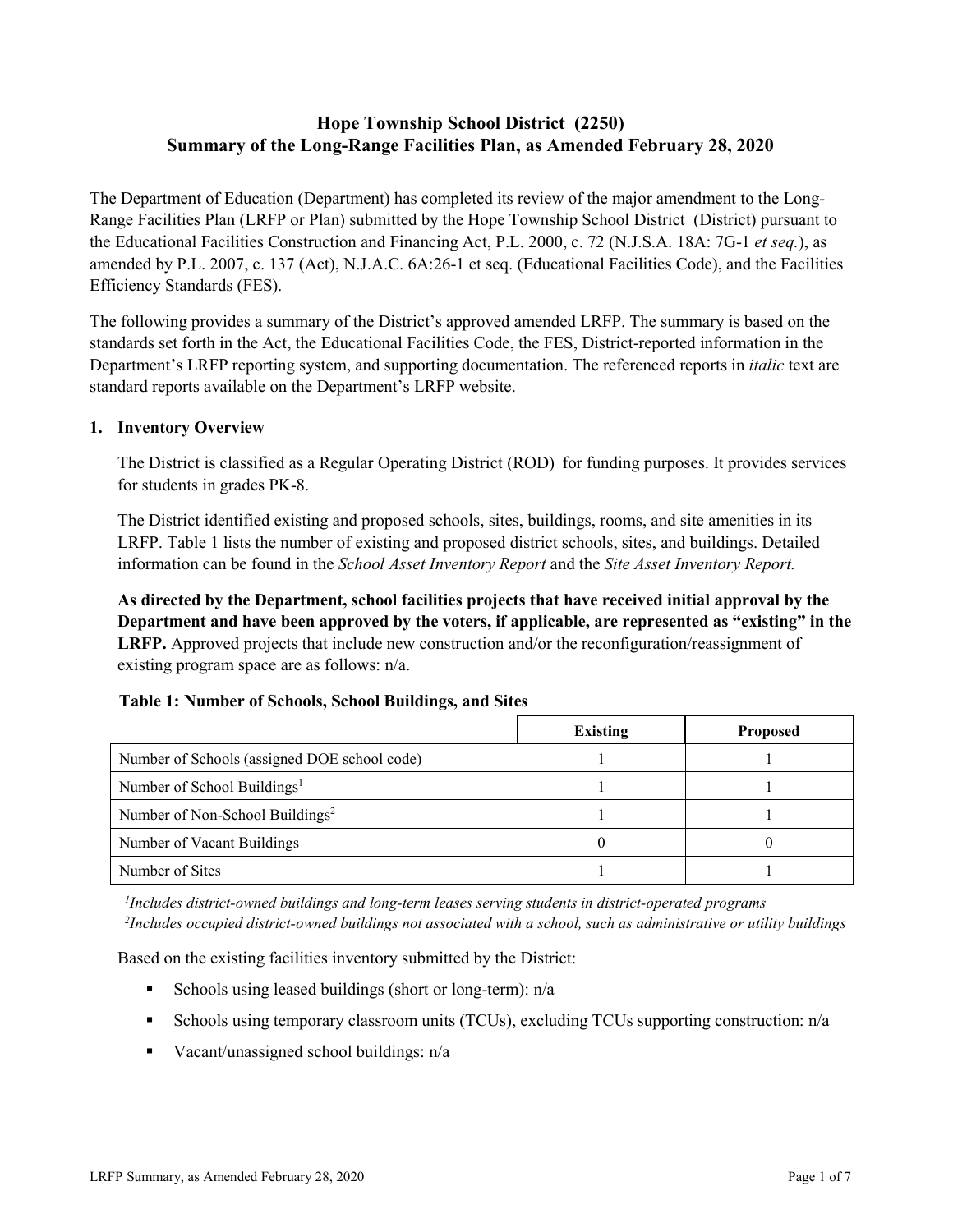# **Hope Township School District (2250) Summary of the Long-Range Facilities Plan, as Amended February 28, 2020**

The Department of Education (Department) has completed its review of the major amendment to the Long-Range Facilities Plan (LRFP or Plan) submitted by the Hope Township School District (District) pursuant to the Educational Facilities Construction and Financing Act, P.L. 2000, c. 72 (N.J.S.A. 18A: 7G-1 *et seq.*), as amended by P.L. 2007, c. 137 (Act), N.J.A.C. 6A:26-1 et seq. (Educational Facilities Code), and the Facilities Efficiency Standards (FES).

The following provides a summary of the District's approved amended LRFP. The summary is based on the standards set forth in the Act, the Educational Facilities Code, the FES, District-reported information in the Department's LRFP reporting system, and supporting documentation. The referenced reports in *italic* text are standard reports available on the Department's LRFP website.

### **1. Inventory Overview**

The District is classified as a Regular Operating District (ROD) for funding purposes. It provides services for students in grades PK-8.

The District identified existing and proposed schools, sites, buildings, rooms, and site amenities in its LRFP. Table 1 lists the number of existing and proposed district schools, sites, and buildings. Detailed information can be found in the *School Asset Inventory Report* and the *Site Asset Inventory Report.*

**As directed by the Department, school facilities projects that have received initial approval by the Department and have been approved by the voters, if applicable, are represented as "existing" in the LRFP.** Approved projects that include new construction and/or the reconfiguration/reassignment of existing program space are as follows: n/a.

#### **Table 1: Number of Schools, School Buildings, and Sites**

|                                              | Existing | <b>Proposed</b> |
|----------------------------------------------|----------|-----------------|
| Number of Schools (assigned DOE school code) |          |                 |
| Number of School Buildings <sup>1</sup>      |          |                 |
| Number of Non-School Buildings <sup>2</sup>  |          |                 |
| Number of Vacant Buildings                   |          |                 |
| Number of Sites                              |          |                 |

*1 Includes district-owned buildings and long-term leases serving students in district-operated programs 2 Includes occupied district-owned buildings not associated with a school, such as administrative or utility buildings*

Based on the existing facilities inventory submitted by the District:

- Schools using leased buildings (short or long-term):  $n/a$
- Schools using temporary classroom units (TCUs), excluding TCUs supporting construction: n/a
- Vacant/unassigned school buildings:  $n/a$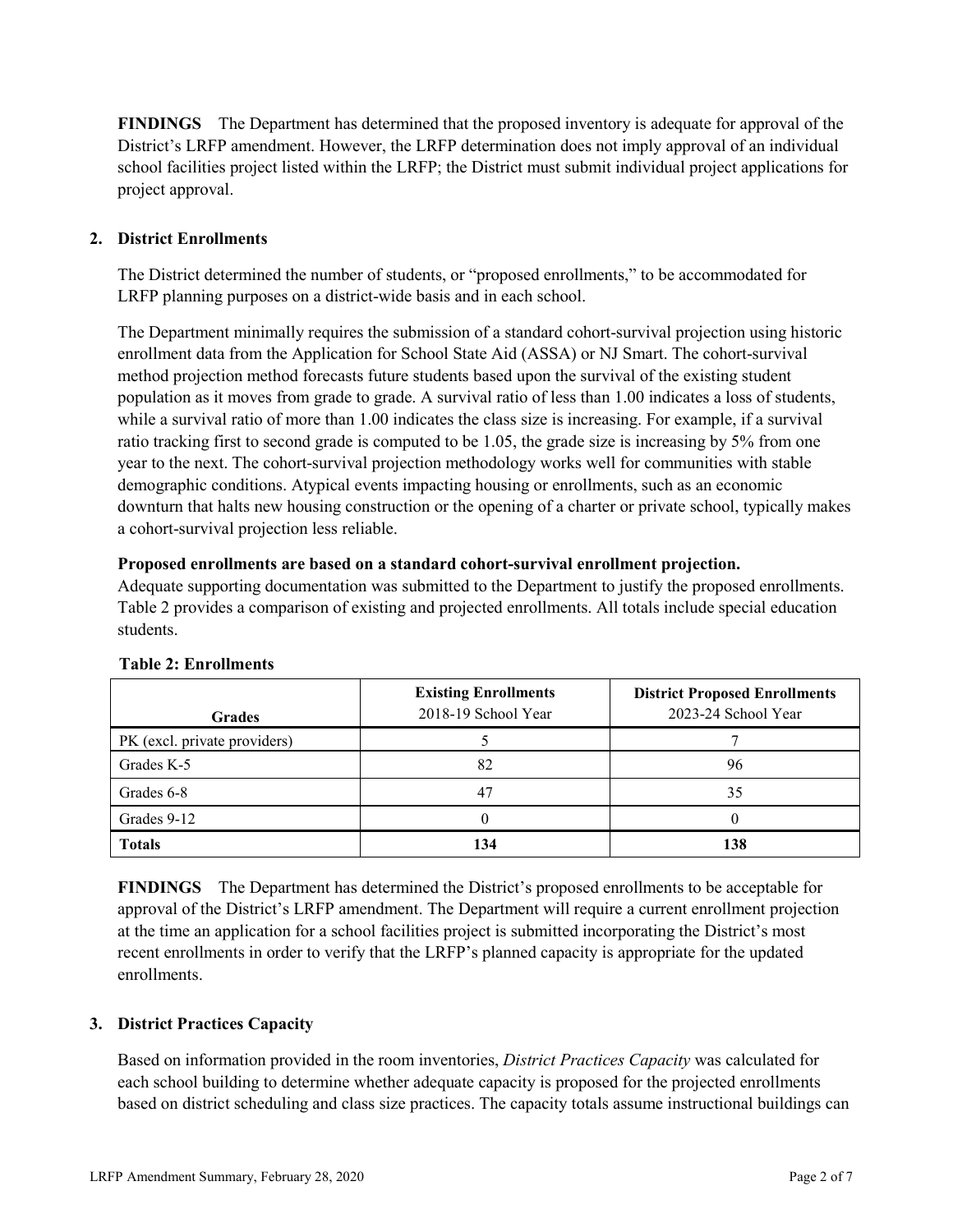**FINDINGS** The Department has determined that the proposed inventory is adequate for approval of the District's LRFP amendment. However, the LRFP determination does not imply approval of an individual school facilities project listed within the LRFP; the District must submit individual project applications for project approval.

# **2. District Enrollments**

The District determined the number of students, or "proposed enrollments," to be accommodated for LRFP planning purposes on a district-wide basis and in each school.

The Department minimally requires the submission of a standard cohort-survival projection using historic enrollment data from the Application for School State Aid (ASSA) or NJ Smart. The cohort-survival method projection method forecasts future students based upon the survival of the existing student population as it moves from grade to grade. A survival ratio of less than 1.00 indicates a loss of students, while a survival ratio of more than 1.00 indicates the class size is increasing. For example, if a survival ratio tracking first to second grade is computed to be 1.05, the grade size is increasing by 5% from one year to the next. The cohort-survival projection methodology works well for communities with stable demographic conditions. Atypical events impacting housing or enrollments, such as an economic downturn that halts new housing construction or the opening of a charter or private school, typically makes a cohort-survival projection less reliable.

### **Proposed enrollments are based on a standard cohort-survival enrollment projection.**

Adequate supporting documentation was submitted to the Department to justify the proposed enrollments. Table 2 provides a comparison of existing and projected enrollments. All totals include special education students.

| <b>Grades</b>                | <b>Existing Enrollments</b><br>2018-19 School Year | <b>District Proposed Enrollments</b><br>2023-24 School Year |
|------------------------------|----------------------------------------------------|-------------------------------------------------------------|
| PK (excl. private providers) |                                                    |                                                             |
| Grades K-5                   | 82                                                 | 96                                                          |
| Grades 6-8                   | 47                                                 | 35                                                          |
| Grades 9-12                  |                                                    |                                                             |
| <b>Totals</b>                | 134                                                | 138                                                         |

# **Table 2: Enrollments**

**FINDINGS** The Department has determined the District's proposed enrollments to be acceptable for approval of the District's LRFP amendment. The Department will require a current enrollment projection at the time an application for a school facilities project is submitted incorporating the District's most recent enrollments in order to verify that the LRFP's planned capacity is appropriate for the updated enrollments.

# **3. District Practices Capacity**

Based on information provided in the room inventories, *District Practices Capacity* was calculated for each school building to determine whether adequate capacity is proposed for the projected enrollments based on district scheduling and class size practices. The capacity totals assume instructional buildings can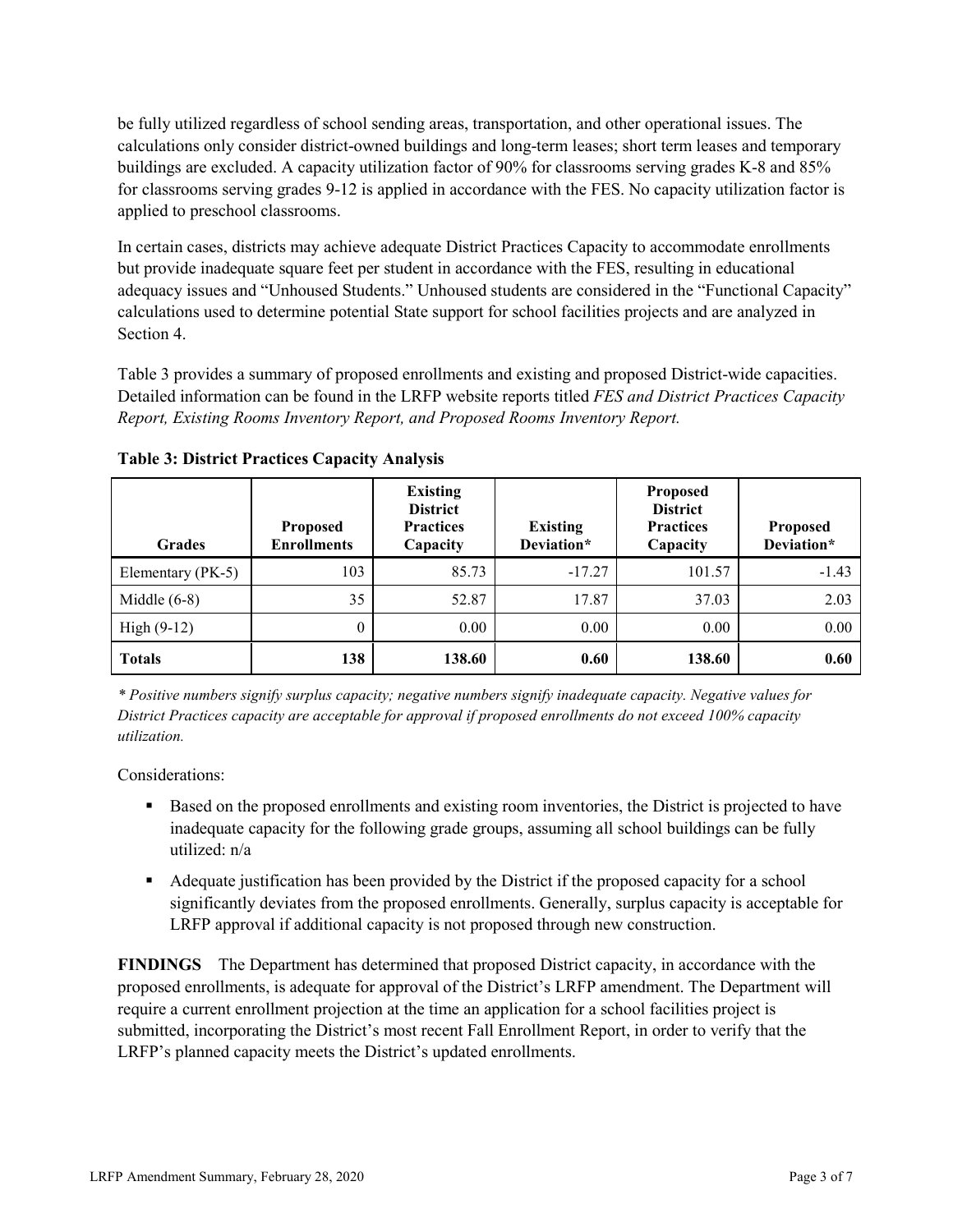be fully utilized regardless of school sending areas, transportation, and other operational issues. The calculations only consider district-owned buildings and long-term leases; short term leases and temporary buildings are excluded. A capacity utilization factor of 90% for classrooms serving grades K-8 and 85% for classrooms serving grades 9-12 is applied in accordance with the FES. No capacity utilization factor is applied to preschool classrooms.

In certain cases, districts may achieve adequate District Practices Capacity to accommodate enrollments but provide inadequate square feet per student in accordance with the FES, resulting in educational adequacy issues and "Unhoused Students." Unhoused students are considered in the "Functional Capacity" calculations used to determine potential State support for school facilities projects and are analyzed in Section 4.

Table 3 provides a summary of proposed enrollments and existing and proposed District-wide capacities. Detailed information can be found in the LRFP website reports titled *FES and District Practices Capacity Report, Existing Rooms Inventory Report, and Proposed Rooms Inventory Report.*

| <b>Grades</b>     | <b>Proposed</b><br><b>Enrollments</b> | <b>Existing</b><br><b>District</b><br><b>Practices</b><br>Capacity | <b>Existing</b><br>Deviation* | <b>Proposed</b><br><b>District</b><br><b>Practices</b><br>Capacity | <b>Proposed</b><br>Deviation* |
|-------------------|---------------------------------------|--------------------------------------------------------------------|-------------------------------|--------------------------------------------------------------------|-------------------------------|
| Elementary (PK-5) | 103                                   | 85.73                                                              | $-17.27$                      | 101.57                                                             | $-1.43$                       |
| Middle $(6-8)$    | 35                                    | 52.87                                                              | 17.87                         | 37.03                                                              | 2.03                          |
| High $(9-12)$     | $\theta$                              | 0.00                                                               | 0.00                          | 0.00                                                               | 0.00                          |
| <b>Totals</b>     | 138                                   | 138.60                                                             | 0.60                          | 138.60                                                             | 0.60                          |

**Table 3: District Practices Capacity Analysis**

*\* Positive numbers signify surplus capacity; negative numbers signify inadequate capacity. Negative values for District Practices capacity are acceptable for approval if proposed enrollments do not exceed 100% capacity utilization.*

Considerations:

- **Based on the proposed enrollments and existing room inventories, the District is projected to have** inadequate capacity for the following grade groups, assuming all school buildings can be fully utilized: n/a
- Adequate justification has been provided by the District if the proposed capacity for a school significantly deviates from the proposed enrollments. Generally, surplus capacity is acceptable for LRFP approval if additional capacity is not proposed through new construction.

**FINDINGS**The Department has determined that proposed District capacity, in accordance with the proposed enrollments, is adequate for approval of the District's LRFP amendment. The Department will require a current enrollment projection at the time an application for a school facilities project is submitted, incorporating the District's most recent Fall Enrollment Report, in order to verify that the LRFP's planned capacity meets the District's updated enrollments.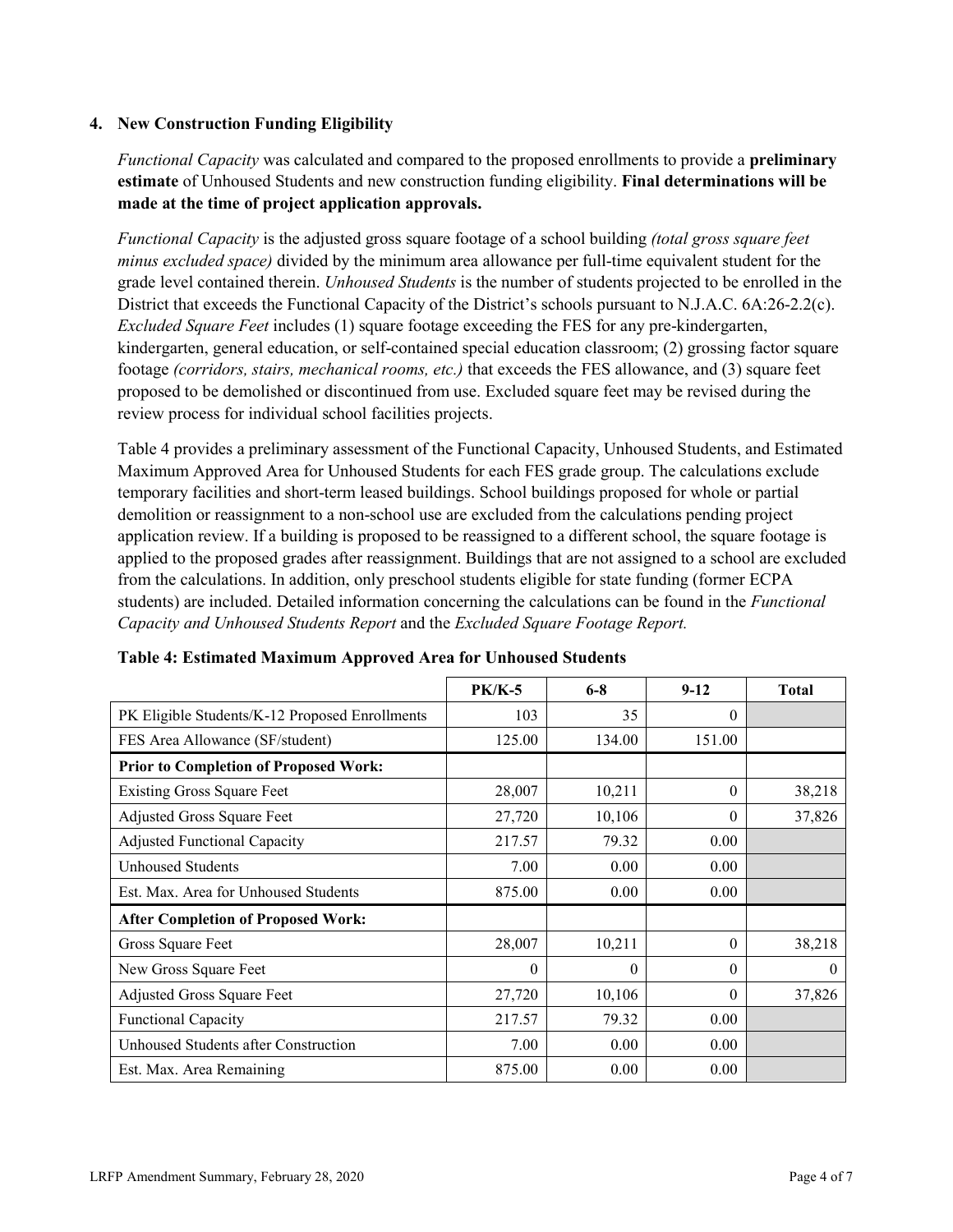### **4. New Construction Funding Eligibility**

*Functional Capacity* was calculated and compared to the proposed enrollments to provide a **preliminary estimate** of Unhoused Students and new construction funding eligibility. **Final determinations will be made at the time of project application approvals.**

*Functional Capacity* is the adjusted gross square footage of a school building *(total gross square feet minus excluded space)* divided by the minimum area allowance per full-time equivalent student for the grade level contained therein. *Unhoused Students* is the number of students projected to be enrolled in the District that exceeds the Functional Capacity of the District's schools pursuant to N.J.A.C. 6A:26-2.2(c). *Excluded Square Feet* includes (1) square footage exceeding the FES for any pre-kindergarten, kindergarten, general education, or self-contained special education classroom; (2) grossing factor square footage *(corridors, stairs, mechanical rooms, etc.)* that exceeds the FES allowance, and (3) square feet proposed to be demolished or discontinued from use. Excluded square feet may be revised during the review process for individual school facilities projects.

Table 4 provides a preliminary assessment of the Functional Capacity, Unhoused Students, and Estimated Maximum Approved Area for Unhoused Students for each FES grade group. The calculations exclude temporary facilities and short-term leased buildings. School buildings proposed for whole or partial demolition or reassignment to a non-school use are excluded from the calculations pending project application review. If a building is proposed to be reassigned to a different school, the square footage is applied to the proposed grades after reassignment. Buildings that are not assigned to a school are excluded from the calculations. In addition, only preschool students eligible for state funding (former ECPA students) are included. Detailed information concerning the calculations can be found in the *Functional Capacity and Unhoused Students Report* and the *Excluded Square Footage Report.*

|                                                | <b>PK/K-5</b> | $6 - 8$  | $9 - 12$ | <b>Total</b> |
|------------------------------------------------|---------------|----------|----------|--------------|
| PK Eligible Students/K-12 Proposed Enrollments | 103           | 35       | $\theta$ |              |
| FES Area Allowance (SF/student)                | 125.00        | 134.00   | 151.00   |              |
| <b>Prior to Completion of Proposed Work:</b>   |               |          |          |              |
| <b>Existing Gross Square Feet</b>              | 28,007        | 10,211   | $\theta$ | 38,218       |
| Adjusted Gross Square Feet                     | 27,720        | 10,106   | $\theta$ | 37,826       |
| <b>Adjusted Functional Capacity</b>            | 217.57        | 79.32    | 0.00     |              |
| <b>Unhoused Students</b>                       | 7.00          | 0.00     | 0.00     |              |
| Est. Max. Area for Unhoused Students           | 875.00        | 0.00     | 0.00     |              |
| <b>After Completion of Proposed Work:</b>      |               |          |          |              |
| Gross Square Feet                              | 28,007        | 10,211   | $\theta$ | 38,218       |
| New Gross Square Feet                          | $\theta$      | $\theta$ | $\Omega$ | $\theta$     |
| Adjusted Gross Square Feet                     | 27,720        | 10,106   | $\Omega$ | 37,826       |
| <b>Functional Capacity</b>                     | 217.57        | 79.32    | 0.00     |              |
| Unhoused Students after Construction           | 7.00          | 0.00     | 0.00     |              |
| Est. Max. Area Remaining                       | 875.00        | 0.00     | 0.00     |              |

#### **Table 4: Estimated Maximum Approved Area for Unhoused Students**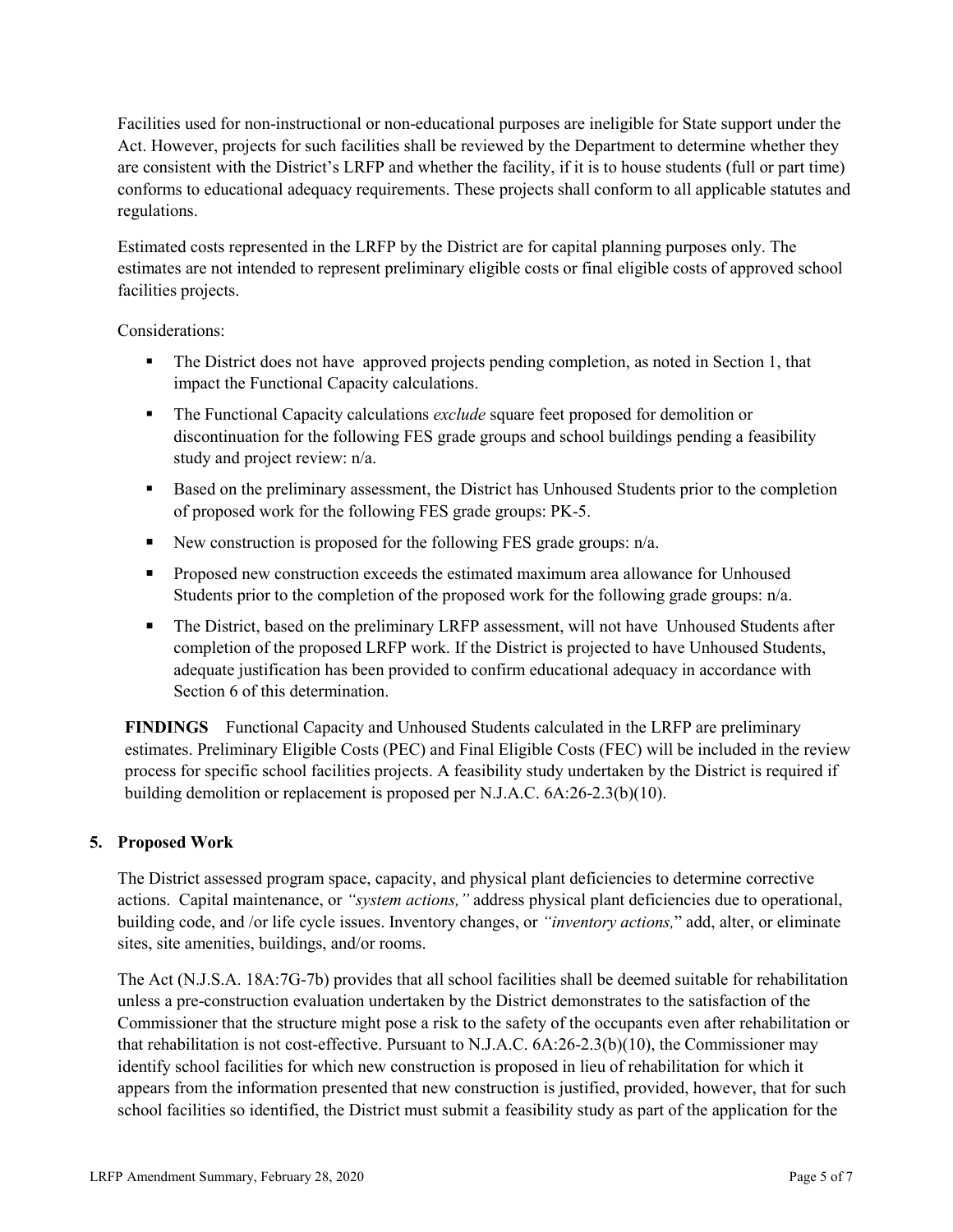Facilities used for non-instructional or non-educational purposes are ineligible for State support under the Act. However, projects for such facilities shall be reviewed by the Department to determine whether they are consistent with the District's LRFP and whether the facility, if it is to house students (full or part time) conforms to educational adequacy requirements. These projects shall conform to all applicable statutes and regulations.

Estimated costs represented in the LRFP by the District are for capital planning purposes only. The estimates are not intended to represent preliminary eligible costs or final eligible costs of approved school facilities projects.

Considerations:

- The District does not have approved projects pending completion, as noted in Section 1, that impact the Functional Capacity calculations.
- The Functional Capacity calculations *exclude* square feet proposed for demolition or discontinuation for the following FES grade groups and school buildings pending a feasibility study and project review: n/a.
- Based on the preliminary assessment, the District has Unhoused Students prior to the completion of proposed work for the following FES grade groups: PK-5.
- New construction is proposed for the following FES grade groups:  $n/a$ .
- **Proposed new construction exceeds the estimated maximum area allowance for Unhoused** Students prior to the completion of the proposed work for the following grade groups:  $n/a$ .
- The District, based on the preliminary LRFP assessment, will not have Unhoused Students after completion of the proposed LRFP work. If the District is projected to have Unhoused Students, adequate justification has been provided to confirm educational adequacy in accordance with Section 6 of this determination.

**FINDINGS** Functional Capacity and Unhoused Students calculated in the LRFP are preliminary estimates. Preliminary Eligible Costs (PEC) and Final Eligible Costs (FEC) will be included in the review process for specific school facilities projects. A feasibility study undertaken by the District is required if building demolition or replacement is proposed per N.J.A.C. 6A:26-2.3(b)(10).

# **5. Proposed Work**

The District assessed program space, capacity, and physical plant deficiencies to determine corrective actions. Capital maintenance, or *"system actions,"* address physical plant deficiencies due to operational, building code, and /or life cycle issues. Inventory changes, or *"inventory actions,*" add, alter, or eliminate sites, site amenities, buildings, and/or rooms.

The Act (N.J.S.A. 18A:7G-7b) provides that all school facilities shall be deemed suitable for rehabilitation unless a pre-construction evaluation undertaken by the District demonstrates to the satisfaction of the Commissioner that the structure might pose a risk to the safety of the occupants even after rehabilitation or that rehabilitation is not cost-effective. Pursuant to N.J.A.C. 6A:26-2.3(b)(10), the Commissioner may identify school facilities for which new construction is proposed in lieu of rehabilitation for which it appears from the information presented that new construction is justified, provided, however, that for such school facilities so identified, the District must submit a feasibility study as part of the application for the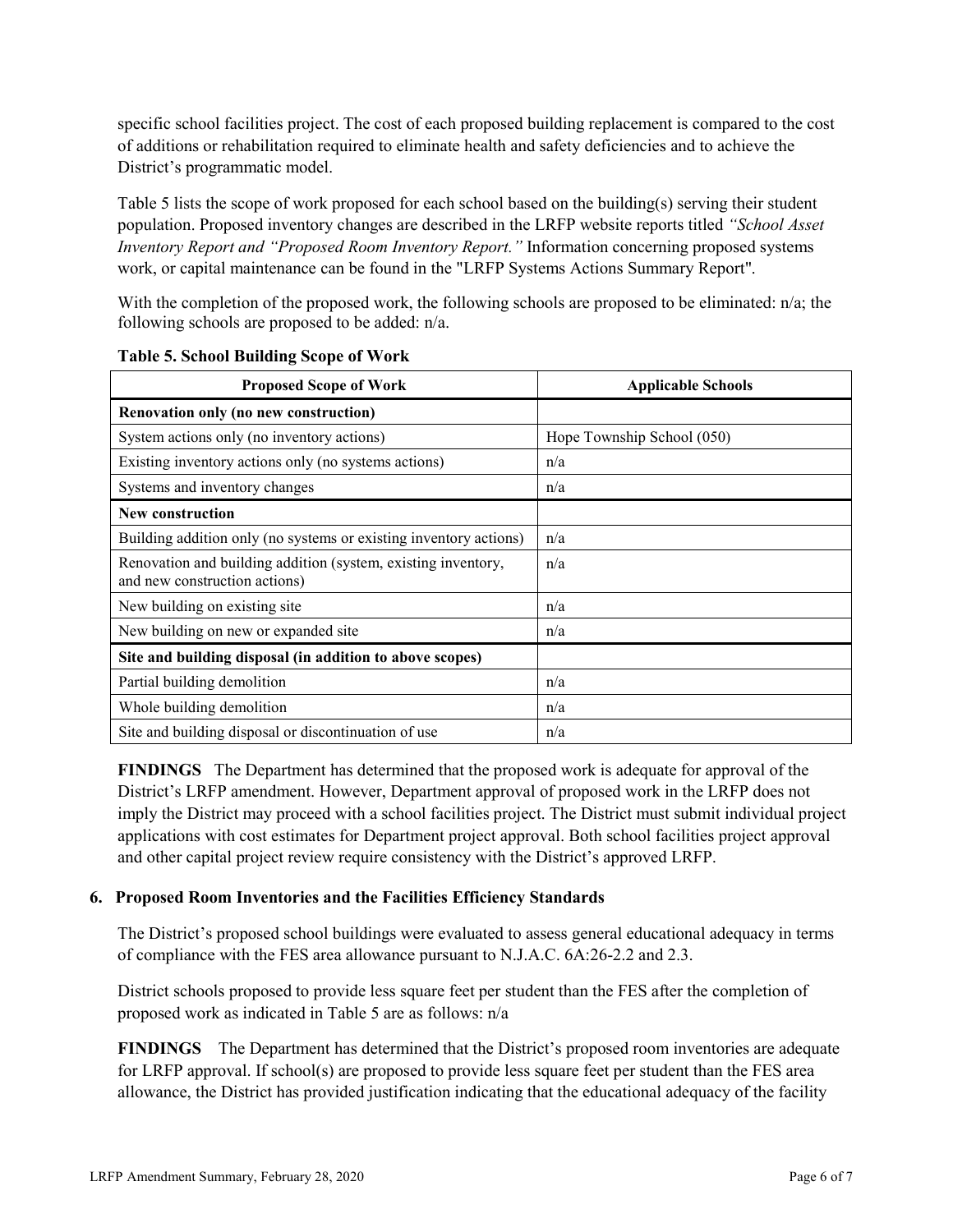specific school facilities project. The cost of each proposed building replacement is compared to the cost of additions or rehabilitation required to eliminate health and safety deficiencies and to achieve the District's programmatic model.

Table 5 lists the scope of work proposed for each school based on the building(s) serving their student population. Proposed inventory changes are described in the LRFP website reports titled *"School Asset Inventory Report and "Proposed Room Inventory Report."* Information concerning proposed systems work, or capital maintenance can be found in the "LRFP Systems Actions Summary Report".

With the completion of the proposed work, the following schools are proposed to be eliminated: n/a; the following schools are proposed to be added: n/a.

| <b>Proposed Scope of Work</b>                                                                  | <b>Applicable Schools</b>  |
|------------------------------------------------------------------------------------------------|----------------------------|
| Renovation only (no new construction)                                                          |                            |
| System actions only (no inventory actions)                                                     | Hope Township School (050) |
| Existing inventory actions only (no systems actions)                                           | n/a                        |
| Systems and inventory changes                                                                  | n/a                        |
| <b>New construction</b>                                                                        |                            |
| Building addition only (no systems or existing inventory actions)                              | n/a                        |
| Renovation and building addition (system, existing inventory,<br>and new construction actions) | n/a                        |
| New building on existing site                                                                  | n/a                        |
| New building on new or expanded site                                                           | n/a                        |
| Site and building disposal (in addition to above scopes)                                       |                            |
| Partial building demolition                                                                    | n/a                        |
| Whole building demolition                                                                      | n/a                        |
| Site and building disposal or discontinuation of use                                           | n/a                        |

**Table 5. School Building Scope of Work**

**FINDINGS** The Department has determined that the proposed work is adequate for approval of the District's LRFP amendment. However, Department approval of proposed work in the LRFP does not imply the District may proceed with a school facilities project. The District must submit individual project applications with cost estimates for Department project approval. Both school facilities project approval and other capital project review require consistency with the District's approved LRFP.

#### **6. Proposed Room Inventories and the Facilities Efficiency Standards**

The District's proposed school buildings were evaluated to assess general educational adequacy in terms of compliance with the FES area allowance pursuant to N.J.A.C. 6A:26-2.2 and 2.3.

District schools proposed to provide less square feet per student than the FES after the completion of proposed work as indicated in Table 5 are as follows: n/a

**FINDINGS** The Department has determined that the District's proposed room inventories are adequate for LRFP approval. If school(s) are proposed to provide less square feet per student than the FES area allowance, the District has provided justification indicating that the educational adequacy of the facility